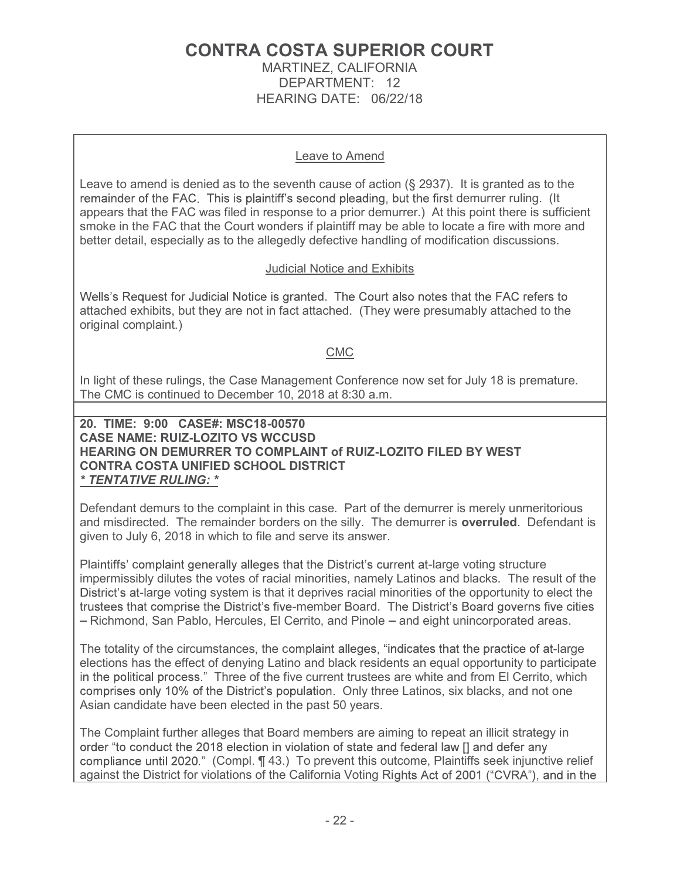# CONTRA COSTA SUPERIOR COURT

MARTINEZ, CALIFORNIA DEPARTMENT: 12 HEARING DATE: 06/22/18

### Leave to Amend

Leave to amend is denied as to the seventh cause of action  $(\S$  2937). It is granted as to the remainder of the FAC. This is plaintiff's second pleading, but the first demurrer ruling. (It appears that the FAC was filed in response to a prior demurrer.) At this point there is sufficient smoke in the FAC that the Court wonders if plaintiff may be able to locate a fire with more and better detail, especially as to the allegedly defective handling of modification discussions.

### Judicial Notice and Exhibits

Wells's Request for Judicial Notice is granted. The Court also notes that the FAC refers to attached exhibits, but they are not in fact attached. (They were presumably attached to the original complaint.)

### CMC

In light of these rulings, the Case Management Conference now set for July 18 is premature. The CMC is continued to December 10, 2018 at 8:30 a.m.

20. TIME: 9:00 CASE#: MSC18-00570 CASE NAME: RUIZ-LOZITO VS WCCUSD HEARING ON DEMURRER TO COMPLAINT of RUIZ-LOZITO FILED BY WEST CONTRA COSTA UNIFIED SCHOOL DISTRICT \* TENTATIVE RULING: \*

Defendant demurs to the complaint in this case. Part of the demurrer is merely unmeritorious and misdirected. The remainder borders on the silly. The demurrer is **overruled**. Defendant is given to July 6, 2018 in which to file and serve its answer.

Plaintiffs' complaint generally alleges that the District's current at-large voting structure impermissibly dilutes the votes of racial minorities, namely Latinos and blacks. The result of the District's at-large voting system is that it deprives racial minorities of the opportunity to elect the trustees that comprise the District's five-member Board. The District's Board governs five cities - Richmond, San Pablo, Hercules, El Cerrito, and Pinole - and eight unincorporated areas.

The totality of the circumstances, the complaint alleges, "indicates that the practice of at-large elections has the effect of denying Latino and black residents an equal opportunity to participate in the political process." Three of the five current trustees are white and from El Cerrito, which comprises only 10% of the District's population. Only three Latinos, six blacks, and not one Asian candidate have been elected in the past 50 years.

The Complaint further alleges that Board members are aiming to repeat an illicit strategy in order "to conduct the 2018 election in violation of state and federal law [] and defer any compliance until 2020." (Compl. ¶ 43.) To prevent this outcome, Plaintiffs seek injunctive relief against the District for violations of the California Voting Rights Act of 2001 ("CVRA"), and in the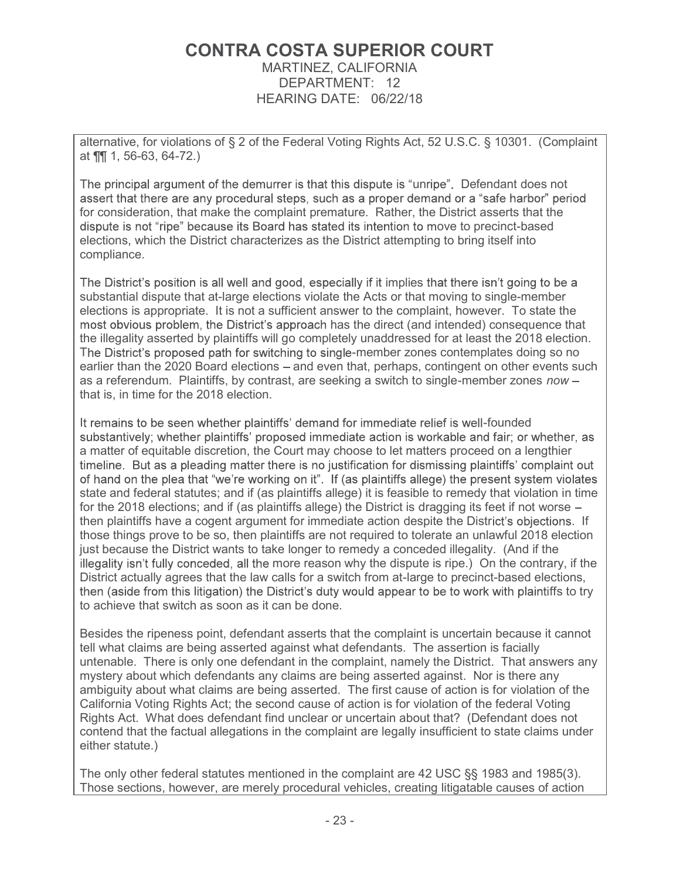## CONTRA COSTA SUPERIOR COURT MARTINEZ, CALIFORNIA

DEPARTMENT: 12 HEARING DATE: 06/22/18

alternative, for violations of § 2 of the Federal Voting Rights Act, 52 U.S.C. § 10301. (Complaint at ¶¶ 1, 56-63, 64-72.)

The principal argument of the demurrer is that this dispute is "unripe". Defendant does not assert that there are any procedural steps, such as a proper demand or a "safe harbor" period for consideration, that make the complaint premature. Rather, the District asserts that the dispute is not "ripe" because its Board has stated its intention to move to precinct-based elections, which the District characterizes as the District attempting to bring itself into compliance.

The District's position is all well and good, especially if it implies that there isn't going to be a substantial dispute that at-large elections violate the Acts or that moving to single-member elections is appropriate. It is not a sufficient answer to the complaint, however. To state the most obvious problem, the District's approach has the direct (and intended) consequence that the illegality asserted by plaintiffs will go completely unaddressed for at least the 2018 election. The District's proposed path for switching to single-member zones contemplates doing so no earlier than the 2020 Board elections – and even that, perhaps, contingent on other events such as a referendum. Plaintiffs, by contrast, are seeking a switch to single-member zones now that is, in time for the 2018 election.

It remains to be seen whether plaintiffs' demand for immediate relief is well-founded substantively; whether plaintiffs' proposed immediate action is workable and fair; or whether, as a matter of equitable discretion, the Court may choose to let matters proceed on a lengthier timeline. But as a pleading matter there is no justification for dismissing plaintiffs' complaint out of hand on the plea that "we're working on it". If (as plaintiffs allege) the present system violates state and federal statutes; and if (as plaintiffs allege) it is feasible to remedy that violation in time for the 2018 elections; and if (as plaintiffs allege) the District is dragging its feet if not worse then plaintiffs have a cogent argument for immediate action despite the District's objections. If those things prove to be so, then plaintiffs are not required to tolerate an unlawful 2018 election just because the District wants to take longer to remedy a conceded illegality. (And if the illegality isn't fully conceded, all the more reason why the dispute is ripe.) On the contrary, if the District actually agrees that the law calls for a switch from at-large to precinct-based elections, then (aside from this litigation) the District's duty would appear to be to work with plaintiffs to try to achieve that switch as soon as it can be done.

Besides the ripeness point, defendant asserts that the complaint is uncertain because it cannot tell what claims are being asserted against what defendants. The assertion is facially untenable. There is only one defendant in the complaint, namely the District. That answers any mystery about which defendants any claims are being asserted against. Nor is there any ambiguity about what claims are being asserted. The first cause of action is for violation of the California Voting Rights Act; the second cause of action is for violation of the federal Voting Rights Act. What does defendant find unclear or uncertain about that? (Defendant does not contend that the factual allegations in the complaint are legally insufficient to state claims under either statute.)

The only other federal statutes mentioned in the complaint are 42 USC §§ 1983 and 1985(3). Those sections, however, are merely procedural vehicles, creating litigatable causes of action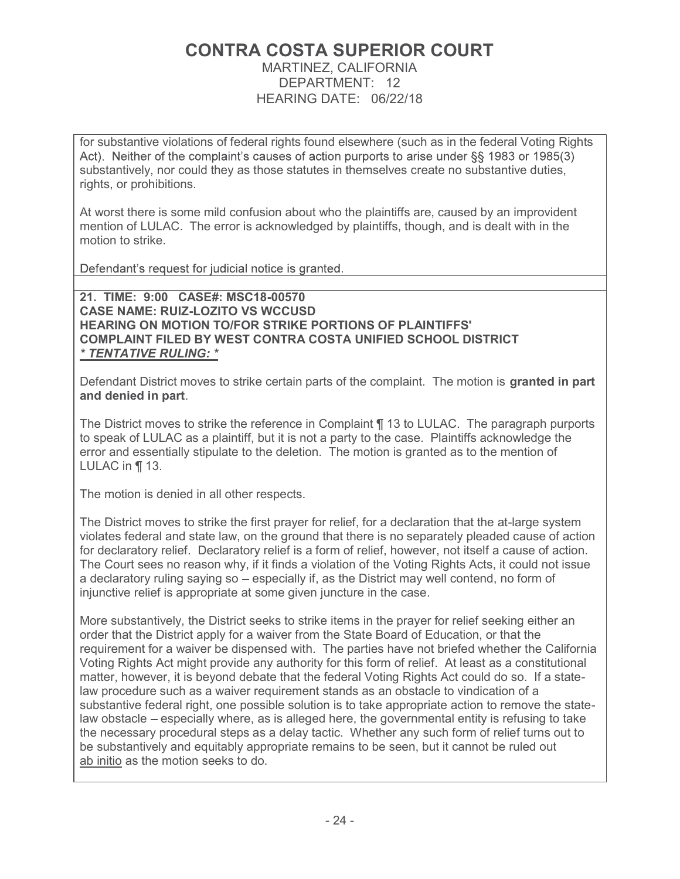# CONTRA COSTA SUPERIOR COURT

MARTINEZ, CALIFORNIA DEPARTMENT: 12 HEARING DATE: 06/22/18

for substantive violations of federal rights found elsewhere (such as in the federal Voting Rights Act). Neither of the complaint's causes of action purports to arise under §§ 1983 or 1985(3) substantively, nor could they as those statutes in themselves create no substantive duties, rights, or prohibitions.

At worst there is some mild confusion about who the plaintiffs are, caused by an improvident mention of LULAC. The error is acknowledged by plaintiffs, though, and is dealt with in the motion to strike.

Defendant's request for judicial notice is granted.

21. TIME: 9:00 CASE#: MSC18-00570 CASE NAME: RUIZ-LOZITO VS WCCUSD HEARING ON MOTION TO/FOR STRIKE PORTIONS OF PLAINTIFFS' COMPLAINT FILED BY WEST CONTRA COSTA UNIFIED SCHOOL DISTRICT \* TENTATIVE RULING: \*

Defendant District moves to strike certain parts of the complaint. The motion is granted in part and denied in part.

The District moves to strike the reference in Complaint ¶ 13 to LULAC. The paragraph purports to speak of LULAC as a plaintiff, but it is not a party to the case. Plaintiffs acknowledge the error and essentially stipulate to the deletion. The motion is granted as to the mention of LULAC in ¶ 13.

The motion is denied in all other respects.

The District moves to strike the first prayer for relief, for a declaration that the at-large system violates federal and state law, on the ground that there is no separately pleaded cause of action for declaratory relief. Declaratory relief is a form of relief, however, not itself a cause of action. The Court sees no reason why, if it finds a violation of the Voting Rights Acts, it could not issue a declaratory ruling saying so  $-$  especially if, as the District may well contend, no form of injunctive relief is appropriate at some given juncture in the case.

More substantively, the District seeks to strike items in the prayer for relief seeking either an order that the District apply for a waiver from the State Board of Education, or that the requirement for a waiver be dispensed with. The parties have not briefed whether the California Voting Rights Act might provide any authority for this form of relief. At least as a constitutional matter, however, it is beyond debate that the federal Voting Rights Act could do so. If a statelaw procedure such as a waiver requirement stands as an obstacle to vindication of a substantive federal right, one possible solution is to take appropriate action to remove the statelaw obstacle – especially where, as is alleged here, the governmental entity is refusing to take the necessary procedural steps as a delay tactic. Whether any such form of relief turns out to be substantively and equitably appropriate remains to be seen, but it cannot be ruled out ab initio as the motion seeks to do.